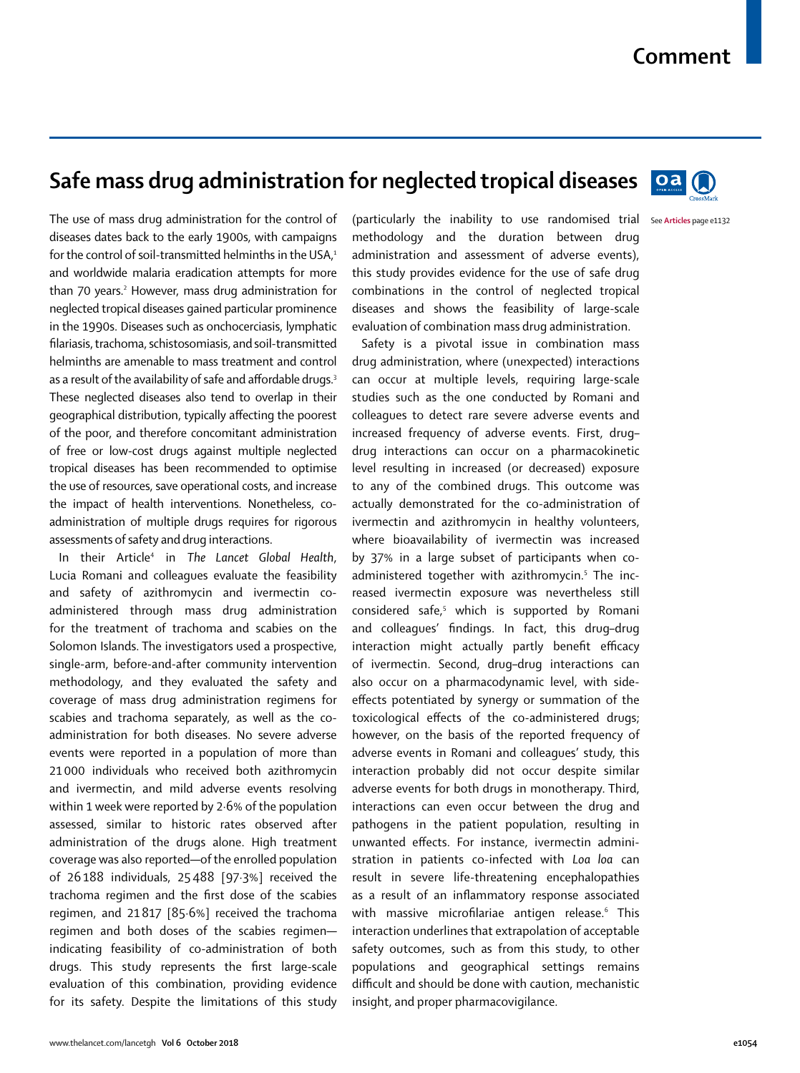## **Safe mass drug administration for neglected tropical diseases**



The use of mass drug administration for the control of diseases dates back to the early 1900s, with campaigns for the control of soil-transmitted helminths in the USA,<sup>1</sup> and worldwide malaria eradication attempts for more than 70 years.<sup>2</sup> However, mass drug administration for neglected tropical diseases gained particular prominence in the 1990s. Diseases such as onchocerciasis, lymphatic filariasis, trachoma, schistosomiasis, and soil-transmitted helminths are amenable to mass treatment and control as a result of the availability of safe and affordable drugs.<sup>3</sup> These neglected diseases also tend to overlap in their geographical distribution, typically affecting the poorest of the poor, and therefore concomitant administration of free or low-cost drugs against multiple neglected tropical diseases has been recommended to optimise the use of resources, save operational costs, and increase the impact of health interventions. Nonetheless, coadministration of multiple drugs requires for rigorous assessments of safety and drug interactions.

In their Article4 in *The Lancet Global Health*, Lucia Romani and colleagues evaluate the feasibility and safety of azithromycin and ivermectin coadministered through mass drug administration for the treatment of trachoma and scabies on the Solomon Islands. The investigators used a prospective, single-arm, before-and-after community intervention methodology, and they evaluated the safety and coverage of mass drug administration regimens for scabies and trachoma separately, as well as the coadministration for both diseases. No severe adverse events were reported in a population of more than 21 000 individuals who received both azithromycin and ivermectin, and mild adverse events resolving within 1 week were reported by 2*·*6% of the population assessed, similar to historic rates observed after administration of the drugs alone. High treatment coverage was also reported—of the enrolled population of 26 188 individuals, 25 488 [97·3%] received the trachoma regimen and the first dose of the scabies regimen, and 21 817 [85·6%] received the trachoma regimen and both doses of the scabies regimen indicating feasibility of co-administration of both drugs. This study represents the first large-scale evaluation of this combination, providing evidence for its safety. Despite the limitations of this study

(particularly the inability to use randomised trial See Articles page e1132 methodology and the duration between drug administration and assessment of adverse events), this study provides evidence for the use of safe drug combinations in the control of neglected tropical diseases and shows the feasibility of large-scale evaluation of combination mass drug administration.

Safety is a pivotal issue in combination mass drug administration, where (unexpected) interactions can occur at multiple levels, requiring large-scale studies such as the one conducted by Romani and colleagues to detect rare severe adverse events and increased frequency of adverse events. First, drug– drug interactions can occur on a pharmacokinetic level resulting in increased (or decreased) exposure to any of the combined drugs. This outcome was actually demonstrated for the co-administration of ivermectin and azithromycin in healthy volunteers, where bioavailability of ivermectin was increased by 37% in a large subset of participants when coadministered together with azithromycin.<sup>5</sup> The increased ivermectin exposure was nevertheless still considered safe,<sup>5</sup> which is supported by Romani and colleagues' findings. In fact, this drug–drug interaction might actually partly benefit efficacy of ivermectin. Second, drug–drug interactions can also occur on a pharmacodynamic level, with sideeffects potentiated by synergy or summation of the toxicological effects of the co-administered drugs; however, on the basis of the reported frequency of adverse events in Romani and colleagues' study, this interaction probably did not occur despite similar adverse events for both drugs in monotherapy. Third, interactions can even occur between the drug and pathogens in the patient population, resulting in unwanted effects. For instance, ivermectin administration in patients co-infected with *Loa loa* can result in severe life-threatening encephalopathies as a result of an inflammatory response associated with massive microfilariae antigen release.<sup>6</sup> This interaction underlines that extrapolation of acceptable safety outcomes, such as from this study, to other populations and geographical settings remains difficult and should be done with caution, mechanistic insight, and proper pharmacovigilance.